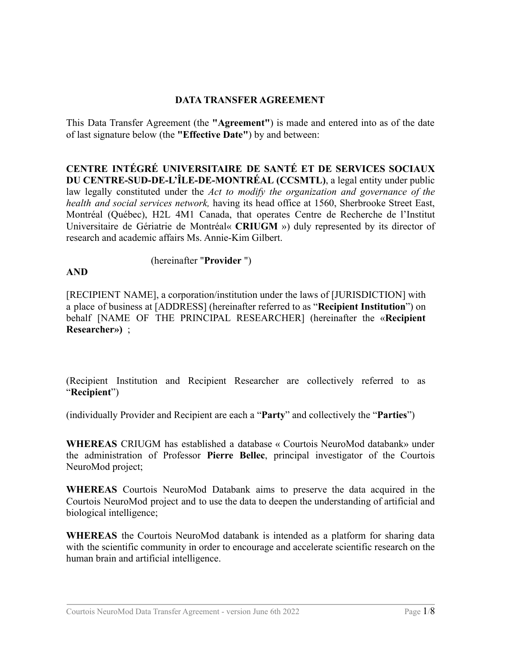#### **DATA TRANSFER AGREEMENT**

This Data Transfer Agreement (the **"Agreement"**) is made and entered into as of the date of last signature below (the **"Effective Date"**) by and between:

**CENTRE INTÉGRÉ UNIVERSITAIRE DE SANTÉ ET DE SERVICES SOCIAUX DU CENTRE-SUD-DE-L'ÎLE-DE-MONTRÉAL (CCSMTL)**, a legal entity under public law legally constituted under the *Act to modify the organization and governance of the health and social services network,* having its head office at 1560, Sherbrooke Street East, Montréal (Québec), H2L 4M1 Canada, that operates Centre de Recherche de l'Institut Universitaire de Gériatrie de Montréal« **CRIUGM** ») duly represented by its director of research and academic affairs Ms. Annie-Kim Gilbert.

#### (hereinafter "**Provider** ")

**AND**

[RECIPIENT NAME], a corporation/institution under the laws of [JURISDICTION] with a place of business at [ADDRESS] (hereinafter referred to as "**Recipient Institution**") on behalf [NAME OF THE PRINCIPAL RESEARCHER] (hereinafter the «**Recipient Researcher»)** ;

(Recipient Institution and Recipient Researcher are collectively referred to as "**Recipient**")

(individually Provider and Recipient are each a "**Party**" and collectively the "**Parties**")

**WHEREAS** CRIUGM has established a database « Courtois NeuroMod databank» under the administration of Professor **Pierre Bellec**, principal investigator of the Courtois NeuroMod project;

**WHEREAS** Courtois NeuroMod Databank aims to preserve the data acquired in the Courtois NeuroMod project and to use the data to deepen the understanding of artificial and biological intelligence;

**WHEREAS** the Courtois NeuroMod databank is intended as a platform for sharing data with the scientific community in order to encourage and accelerate scientific research on the human brain and artificial intelligence.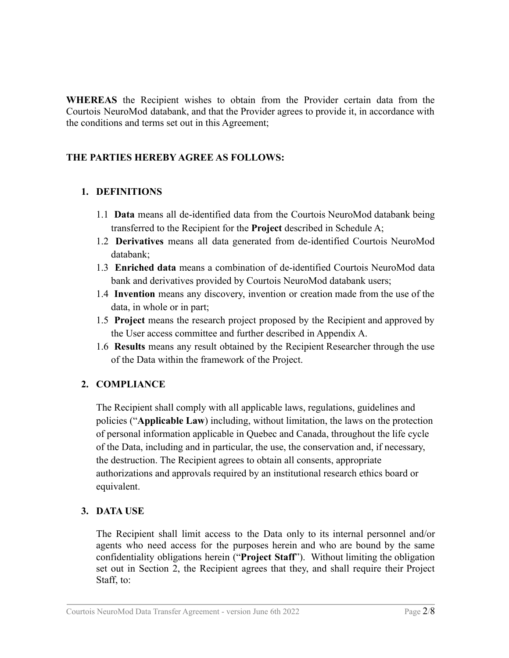**WHEREAS** the Recipient wishes to obtain from the Provider certain data from the Courtois NeuroMod databank, and that the Provider agrees to provide it, in accordance with the conditions and terms set out in this Agreement;

# **THE PARTIES HEREBY AGREE AS FOLLOWS:**

### **1. DEFINITIONS**

- 1.1 **Data** means all de-identified data from the Courtois NeuroMod databank being transferred to the Recipient for the **Project** described in Schedule A;
- 1.2 **Derivatives** means all data generated from de-identified Courtois NeuroMod databank;
- 1.3 **Enriched data** means a combination of de-identified Courtois NeuroMod data bank and derivatives provided by Courtois NeuroMod databank users;
- 1.4 **Invention** means any discovery, invention or creation made from the use of the data, in whole or in part;
- 1.5 **Project** means the research project proposed by the Recipient and approved by the User access committee and further described in Appendix A.
- 1.6 **Results** means any result obtained by the Recipient Researcher through the use of the Data within the framework of the Project.

# **2. COMPLIANCE**

The Recipient shall comply with all applicable laws, regulations, guidelines and policies ("**Applicable Law**) including, without limitation, the laws on the protection of personal information applicable in Quebec and Canada, throughout the life cycle of the Data, including and in particular, the use, the conservation and, if necessary, the destruction. The Recipient agrees to obtain all consents, appropriate authorizations and approvals required by an institutional research ethics board or equivalent.

### **3. DATA USE**

The Recipient shall limit access to the Data only to its internal personnel and/or agents who need access for the purposes herein and who are bound by the same confidentiality obligations herein ("**Project Staff**"). Without limiting the obligation set out in Section 2, the Recipient agrees that they, and shall require their Project Staff, to: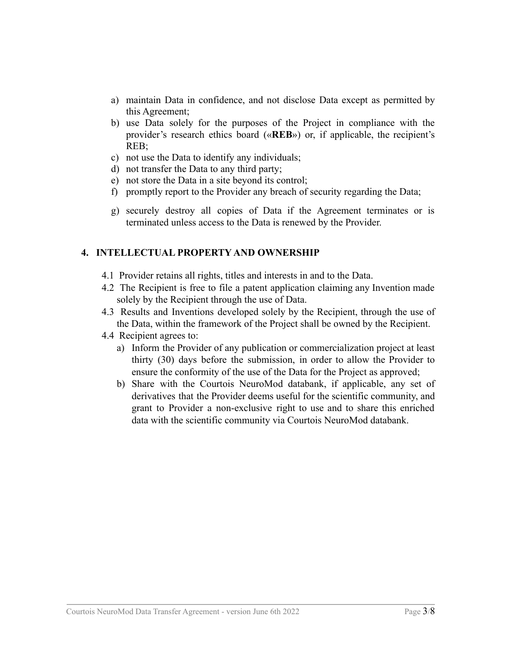- a) maintain Data in confidence, and not disclose Data except as permitted by this Agreement;
- b) use Data solely for the purposes of the Project in compliance with the provider's research ethics board («**REB**») or, if applicable, the recipient's REB;
- c) not use the Data to identify any individuals;
- d) not transfer the Data to any third party;
- e) not store the Data in a site beyond its control;
- f) promptly report to the Provider any breach of security regarding the Data;
- g) securely destroy all copies of Data if the Agreement terminates or is terminated unless access to the Data is renewed by the Provider.

#### **4. INTELLECTUAL PROPERTY AND OWNERSHIP**

- 4.1 Provider retains all rights, titles and interests in and to the Data.
- 4.2 The Recipient is free to file a patent application claiming any Invention made solely by the Recipient through the use of Data.
- 4.3 Results and Inventions developed solely by the Recipient, through the use of the Data, within the framework of the Project shall be owned by the Recipient.
- 4.4 Recipient agrees to:
	- a) Inform the Provider of any publication or commercialization project at least thirty (30) days before the submission, in order to allow the Provider to ensure the conformity of the use of the Data for the Project as approved;
	- b) Share with the Courtois NeuroMod databank, if applicable, any set of derivatives that the Provider deems useful for the scientific community, and grant to Provider a non-exclusive right to use and to share this enriched data with the scientific community via Courtois NeuroMod databank.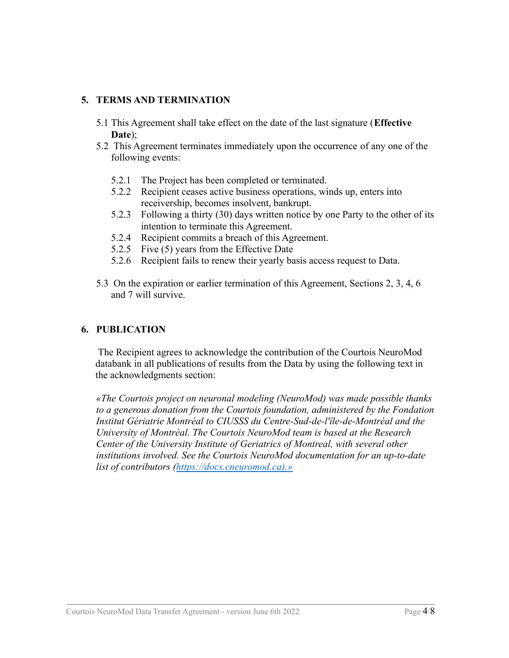#### **5. TERMS AND TERMINATION**

- 5.1 This Agreement shall take effect on the date of the last signature (**Effective Date**);
- 5.2 This Agreement terminates immediately upon the occurrence of any one of the following events:
	- 5.2.1 The Project has been completed or terminated.
	- 5.2.2 Recipient ceases active business operations, winds up, enters into receivership, becomes insolvent, bankrupt.
	- 5.2.3 Following a thirty (30) days written notice by one Party to the other of its intention to terminate this Agreement.
	- 5.2.4 Recipient commits a breach of this Agreement.
	- 5.2.5 Five (5) years from the Effective Date
	- 5.2.6 Recipient fails to renew their yearly basis access request to Data.
- 5.3 On the expiration or earlier termination of this Agreement, Sections 2, 3, 4, 6 and 7 will survive.

#### **6. PUBLICATION**

The Recipient agrees to acknowledge the contribution of the Courtois NeuroMod databank in all publications of results from the Data by using the following text in the acknowledgments section:

*«The Courtois project on neuronal modeling (NeuroMod) was made possible thanks to a generous donation from the Courtois foundation, administered by the Fondation Institut Gériatrie Montréal to CIUSSS du Centre-Sud-de-l'île-de-Montréal and the University of Montréal. The Courtois NeuroMod team is based at the Research Center of the University Institute of Geriatrics of Montreal, with several other institutions involved. See the Courtois NeuroMod documentation for an up-to-date list of contributors (https://docs.cneuromod.ca).»*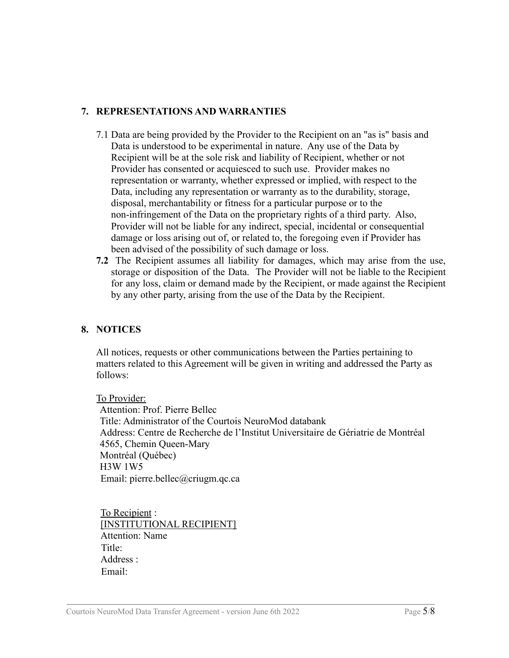#### **7. REPRESENTATIONS AND WARRANTIES**

- 7.1 Data are being provided by the Provider to the Recipient on an "as is" basis and Data is understood to be experimental in nature. Any use of the Data by Recipient will be at the sole risk and liability of Recipient, whether or not Provider has consented or acquiesced to such use. Provider makes no representation or warranty, whether expressed or implied, with respect to the Data, including any representation or warranty as to the durability, storage, disposal, merchantability or fitness for a particular purpose or to the non-infringement of the Data on the proprietary rights of a third party. Also, Provider will not be liable for any indirect, special, incidental or consequential damage or loss arising out of, or related to, the foregoing even if Provider has been advised of the possibility of such damage or loss.
- **7.2** The Recipient assumes all liability for damages, which may arise from the use, storage or disposition of the Data. The Provider will not be liable to the Recipient for any loss, claim or demand made by the Recipient, or made against the Recipient by any other party, arising from the use of the Data by the Recipient.

#### **8. NOTICES**

All notices, requests or other communications between the Parties pertaining to matters related to this Agreement will be given in writing and addressed the Party as follows:

To Provider: Attention: Prof. Pierre Bellec Title: Administrator of the Courtois NeuroMod databank Address: Centre de Recherche de l'Institut Universitaire de Gériatrie de Montréal 4565, Chemin Queen-Mary Montréal (Québec) H3W 1W5 Email: pierre.bellec@criugm.qc.ca

To Recipient : [INSTITUTIONAL RECIPIENT] Attention: Name Title: Address : Email: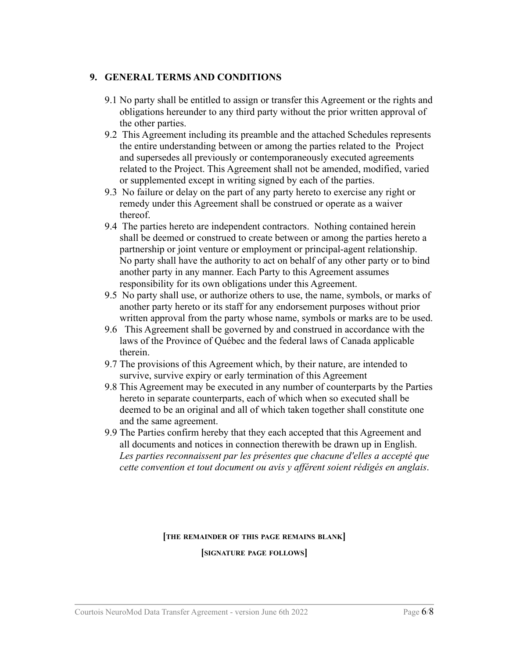#### **9. GENERAL TERMS AND CONDITIONS**

- 9.1 No party shall be entitled to assign or transfer this Agreement or the rights and obligations hereunder to any third party without the prior written approval of the other parties.
- 9.2 This Agreement including its preamble and the attached Schedules represents the entire understanding between or among the parties related to the Project and supersedes all previously or contemporaneously executed agreements related to the Project. This Agreement shall not be amended, modified, varied or supplemented except in writing signed by each of the parties.
- 9.3 No failure or delay on the part of any party hereto to exercise any right or remedy under this Agreement shall be construed or operate as a waiver thereof.
- 9.4 The parties hereto are independent contractors. Nothing contained herein shall be deemed or construed to create between or among the parties hereto a partnership or joint venture or employment or principal-agent relationship. No party shall have the authority to act on behalf of any other party or to bind another party in any manner. Each Party to this Agreement assumes responsibility for its own obligations under this Agreement.
- 9.5 No party shall use, or authorize others to use, the name, symbols, or marks of another party hereto or its staff for any endorsement purposes without prior written approval from the party whose name, symbols or marks are to be used.
- 9.6 This Agreement shall be governed by and construed in accordance with the laws of the Province of Québec and the federal laws of Canada applicable therein.
- 9.7 The provisions of this Agreement which, by their nature, are intended to survive, survive expiry or early termination of this Agreement
- 9.8 This Agreement may be executed in any number of counterparts by the Parties hereto in separate counterparts, each of which when so executed shall be deemed to be an original and all of which taken together shall constitute one and the same agreement.
- 9.9 The Parties confirm hereby that they each accepted that this Agreement and all documents and notices in connection therewith be drawn up in English. *Les parties reconnaissent par les présentes que chacune d'elles a accepté que cette convention et tout document ou avis y afférent soient rédigés en anglais*.

#### **[THE REMAINDER OF THIS PAGE REMAINS BLANK]**

**[SIGNATURE PAGE FOLLOWS]**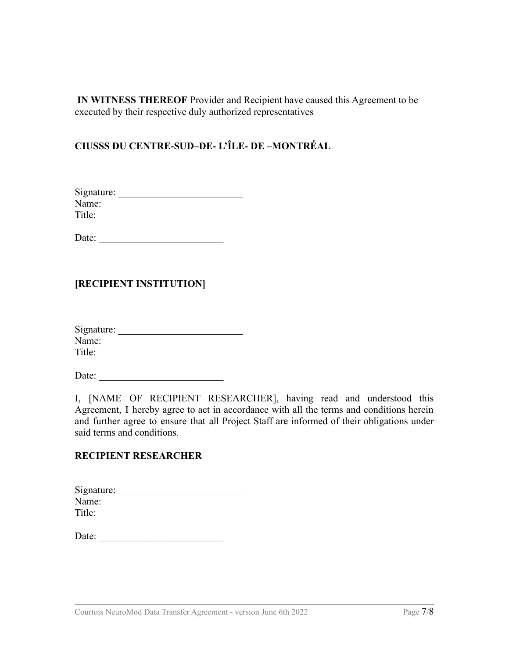**IN WITNESS THEREOF** Provider and Recipient have caused this Agreement to be executed by their respective duly authorized representatives

# **CIUSSS DU CENTRE-SUD–DE- L'ÎLE- DE –MONTRÉAL**

| Signature: |  |  |  |
|------------|--|--|--|
| Name:      |  |  |  |
| Title:     |  |  |  |

Date: \_\_\_\_\_\_\_\_\_\_\_\_\_\_\_\_\_\_\_\_\_\_\_\_\_

### **[RECIPIENT INSTITUTION]**

| Signature: |  |  |
|------------|--|--|
| Name:      |  |  |
| Title:     |  |  |

Date:

I, [NAME OF RECIPIENT RESEARCHER], having read and understood this Agreement, I hereby agree to act in accordance with all the terms and conditions herein and further agree to ensure that all Project Staff are informed of their obligations under said terms and conditions.

#### **RECIPIENT RESEARCHER**

| Signature: |  |  |
|------------|--|--|
| Name:      |  |  |
| Title:     |  |  |